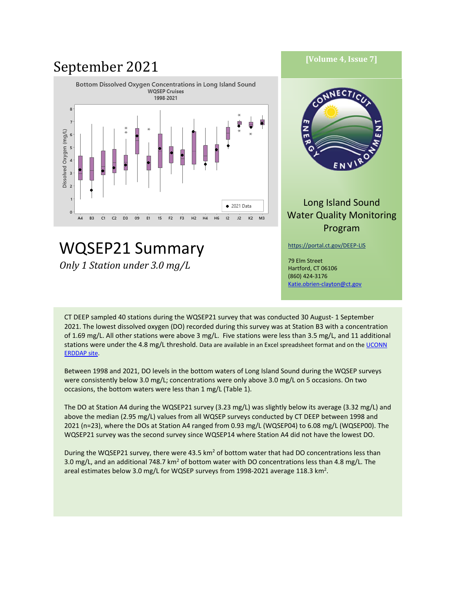#### **September 2021** [Volume 4, Issue 7] Bottom Dissolved Oxygen Concentrations in Long Island Sound **WQSEP Cruises** NEC 1998-2021 8  $\overline{7}$ z Dissolved Oxygen (mg/L)  $\epsilon$ 5  $\overline{4}$ E N 3  $\overline{2}$ Long Island Sound  $\bullet$  2021 Data  $\circ$ Water Quality Monitoring A4 B3.  $C1$  $C<sub>2</sub>$ D3 09  $E1$ 15 F<sub>2</sub> F3  $H2$ H4 **H6**  $12<sup>2</sup>$  $J2$  $K2$ M3 Program WQSEP21 Summary <https://portal.ct.gov/DEEP-LIS> 79 Elm Street *Only 1 Station under 3.0 mg/L*Hartford, CT 06106 (860) 424-3176

CT DEEP sampled 40 stations during the WQSEP21 survey that was conducted 30 August- 1 September 2021. The lowest dissolved oxygen (DO) recorded during this survey was at Station B3 with a concentration of 1.69 mg/L. All other stations were above 3 mg/L. Five stations were less than 3.5 mg/L, and 11 additional stations were under the 4.8 mg/L threshold. Data are available in an Excel spreadsheet format and on the UCONN [ERDDAP site.](http://merlin.dms.uconn.edu:8080/erddap/tabledap/DEEP_WQ.html)

[Katie.obrien-clayton@ct.gov](mailto:Katie.obrien-clayton@ct.gov)

Between 1998 and 2021, DO levels in the bottom waters of Long Island Sound during the WQSEP surveys were consistently below 3.0 mg/L; concentrations were only above 3.0 mg/L on 5 occasions. On two occasions, the bottom waters were less than 1 mg/L (Table 1).

The DO at Station A4 during the WQSEP21 survey (3.23 mg/L) was slightly below its average (3.32 mg/L) and above the median (2.95 mg/L) values from all WQSEP surveys conducted by CT DEEP between 1998 and 2021 (n=23), where the DOs at Station A4 ranged from 0.93 mg/L (WQSEP04) to 6.08 mg/L (WQSEP00). The WQSEP21 survey was the second survey since WQSEP14 where Station A4 did not have the lowest DO.

During the WQSEP21 survey, there were 43.5 km<sup>2</sup> of bottom water that had DO concentrations less than 3.0 mg/L, and an additional 748.7 km<sup>2</sup> of bottom water with DO concentrations less than 4.8 mg/L. The areal estimates below 3.0 mg/L for WQSEP surveys from 1998-2021 average 118.3 km<sup>2</sup>.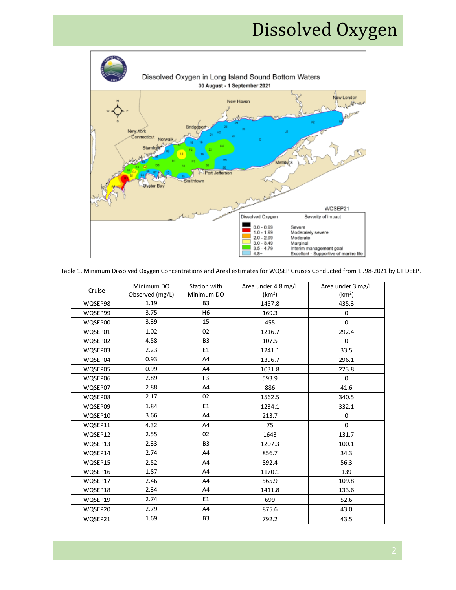# Dissolved Oxygen



Table 1. Minimum Dissolved Oxygen Concentrations and Areal estimates for WQSEP Cruises Conducted from 1998-2021 by CT DEEP.

| Cruise  | Minimum DO      | Station with   | Area under 4.8 mg/L | Area under 3 mg/L  |
|---------|-----------------|----------------|---------------------|--------------------|
|         | Observed (mg/L) | Minimum DO     | (km <sup>2</sup> )  | (km <sup>2</sup> ) |
| WQSEP98 | 1.19            | B <sub>3</sub> | 1457.8              | 435.3              |
| WQSEP99 | 3.75            | H6             | 169.3               | 0                  |
| WQSEP00 | 3.39            | 15             | 455                 | $\Omega$           |
| WQSEP01 | 1.02            | 02             | 1216.7              | 292.4              |
| WQSEP02 | 4.58            | B <sub>3</sub> | 107.5               | 0                  |
| WQSEP03 | 2.23            | E1             | 1241.1              | 33.5               |
| WQSEP04 | 0.93            | A4             | 1396.7              | 296.1              |
| WQSEP05 | 0.99            | A4             | 1031.8              | 223.8              |
| WQSEP06 | 2.89            | F <sub>3</sub> | 593.9               | 0                  |
| WQSEP07 | 2.88            | A4             | 886                 | 41.6               |
| WQSEP08 | 2.17            | 02             | 1562.5              | 340.5              |
| WQSEP09 | 1.84            | E1             | 1234.1              | 332.1              |
| WQSEP10 | 3.66            | A4             | 213.7               | 0                  |
| WQSEP11 | 4.32            | A4             | 75                  | 0                  |
| WQSEP12 | 2.55            | 02             | 1643                | 131.7              |
| WQSEP13 | 2.33            | B <sub>3</sub> | 1207.3              | 100.1              |
| WQSEP14 | 2.74            | A4             | 856.7               | 34.3               |
| WQSEP15 | 2.52            | A4             | 892.4               | 56.3               |
| WQSEP16 | 1.87            | A4             | 1170.1              | 139                |
| WQSEP17 | 2.46            | A4             | 565.9               | 109.8              |
| WQSEP18 | 2.34            | A4             | 1411.8              | 133.6              |
| WQSEP19 | 2.74            | E1             | 699                 | 52.6               |
| WQSEP20 | 2.79            | A4             | 875.6               | 43.0               |
| WQSEP21 | 1.69            | B3             | 792.2               | 43.5               |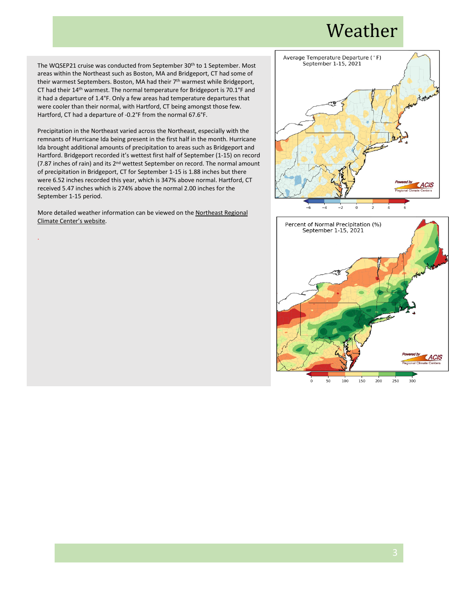#### Weather

The WQSEP21 cruise was conducted from September 30<sup>th</sup> to 1 September. Most areas within the Northeast such as Boston, MA and Bridgeport, CT had some of their warmest Septembers. Boston, MA had their 7<sup>th</sup> warmest while Bridgeport, CT had their 14th warmest. The normal temperature for Bridgeport is 70.1°F and it had a departure of 1.4°F. Only a few areas had temperature departures that were cooler than their normal, with Hartford, CT being amongst those few. Hartford, CT had a departure of -0.2°F from the normal 67.6°F.

Precipitation in the Northeast varied across the Northeast, especially with the remnants of Hurricane Ida being present in the first half in the month. Hurricane Ida brought additional amounts of precipitation to areas such as Bridgeport and Hartford. Bridgeport recorded it's wettest first half of September (1-15) on record (7.87 inches of rain) and its 2nd wettest September on record. The normal amount of precipitation in Bridgeport, CT for September 1-15 is 1.88 inches but there were 6.52 inches recorded this year, which is 347% above normal. Hartford, CT received 5.47 inches which is 274% above the normal 2.00 inches for the September 1-15 period.

More detailed weather information can be viewed on th[e Northeast Regional](http://www.nrcc.cornell.edu/)  [Climate Center's website.](http://www.nrcc.cornell.edu/)

.



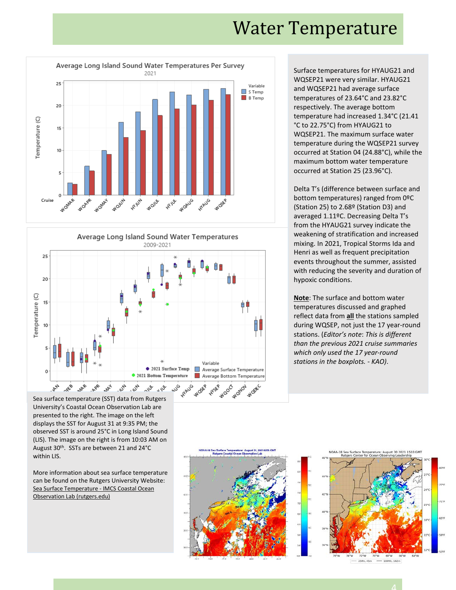#### Water Temperature





Surface temperatures for HYAUG21 and WQSEP21 were very similar. HYAUG21 and WQSEP21 had average surface temperatures of 23.64°C and 23.82°C respectively. The average bottom temperature had increased 1.34°C (21.41 °C to 22.75°C) from HYAUG21 to WQSEP21. The maximum surface water temperature during the WQSEP21 survey occurred at Station 04 (24.88°C), while the maximum bottom water temperature occurred at Station 25 (23.96°C).

Delta T's (difference between surface and bottom temperatures) ranged from 0ºC (Station 25) to 2.68º (Station D3) and averaged 1.11ºC. Decreasing Delta T's from the HYAUG21 survey indicate the weakening of stratification and increased mixing. In 2021, Tropical Storms Ida and Henri as well as frequent precipitation events throughout the summer, assisted with reducing the severity and duration of hypoxic conditions.

**Note**: The surface and bottom water temperatures discussed and graphed reflect data from **all** the stations sampled during WQSEP, not just the 17 year-round stations. (*Editor's note*: *This is different than the previous 2021 cruise summaries which only used the 17 year-round stations in the boxplots. - KAO)*.

Sea surface temperature (SST) data from Rutgers University's Coastal Ocean Observation Lab are presented to the right. The image on the left displays the SST for August 31 at 9:35 PM; the observed SST is around 25°C in Long Island Sound (LIS). The image on the right is from 10:03 AM on August 30th. SSTs are between 21 and 24°C within LIS.

More information about sea surface temperature can be found on the Rutgers University Website: [Sea Surface Temperature -](https://marine.rutgers.edu/cool/sat_data/?bm=9&bd=13&by=2021&sort=date&em=9&ed=14&ey=2021®ion=bigbight&product=sst¬humbs=0&okb.x=55&okb.y=21) IMCS Coastal Ocean [Observation Lab \(rutgers.edu\)](https://marine.rutgers.edu/cool/sat_data/?bm=9&bd=13&by=2021&sort=date&em=9&ed=14&ey=2021®ion=bigbight&product=sst¬humbs=0&okb.x=55&okb.y=21)





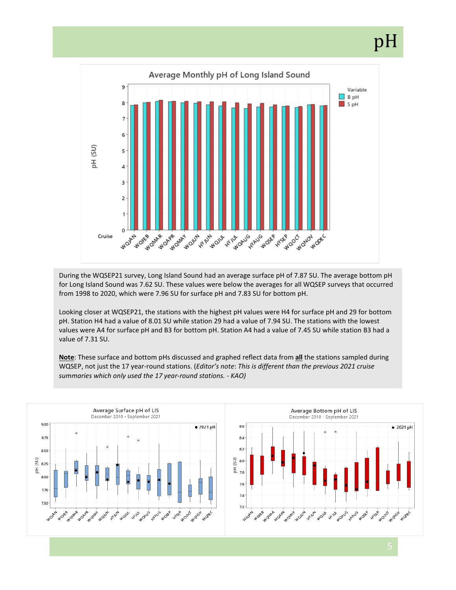# pH



During the WQSEP21 survey, Long Island Sound had an average surface pH of 7.87 SU. The average bottom pH for Long Island Sound was 7.62 SU. These values were below the averages for all WQSEP surveys that occurred from 1998 to 2020, which were 7.96 SU for surface pH and 7.83 SU for bottom pH.

Looking closer at WQSEP21, the stations with the highest pH values were H4 for surface pH and 29 for bottom pH. Station H4 had a value of 8.01 SU while station 29 had a value of 7.94 SU. The stations with the lowest values were A4 for surface pH and B3 for bottom pH. Station A4 had a value of 7.45 SU while station B3 had a value of 7.31 SU.

**Note**: These surface and bottom pHs discussed and graphed reflect data from **all** the stations sampled during WQSEP, not just the 17 year-round stations. (*Editor's note*: *This is different than the previous 2021 cruise summaries which only used the 17 year-round stations. - KAO)*

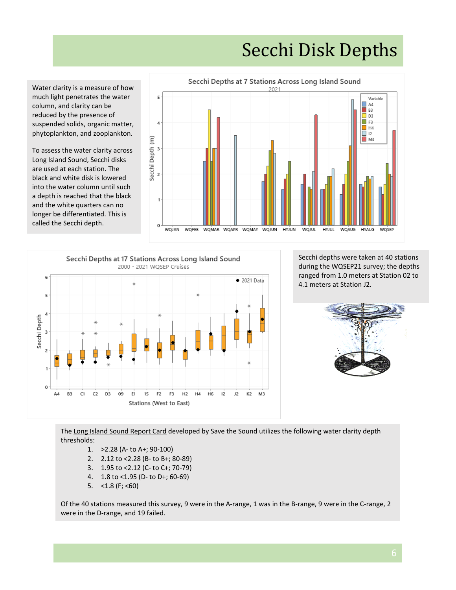## Secchi Disk Depths

Water clarity is a measure of how much light penetrates the water column, and clarity can be reduced by the presence of suspended solids, organic matter, phytoplankton, and zooplankton.

To assess the water clarity across Long Island Sound, Secchi disks are used at each station. The black and white disk is lowered into the water column until such a depth is reached that the black and the white quarters can no longer be differentiated. This is called the Secchi depth.





Secchi depths were taken at 40 stations during the WQSEP21 survey; the depths ranged from 1.0 meters at Station 02 to 4.1 meters at Station J2.



The [Long Island Sound Report Card](https://ecoreportcard.org/report-cards/long-island-sound/health/) developed by Save the Sound utilizes the following water clarity depth thresholds:

- 1. >2.28 (A- to A+; 90-100)
- 2. 2.12 to <2.28 (B- to B+; 80-89)
- 3. 1.95 to <2.12 (C- to C+; 70-79)
- 4. 1.8 to <1.95 (D- to D+; 60-69)
- 5.  $<$  1.8 (F;  $<$  60)

Of the 40 stations measured this survey, 9 were in the A-range, 1 was in the B-range, 9 were in the C-range, 2 were in the D-range, and 19 failed.